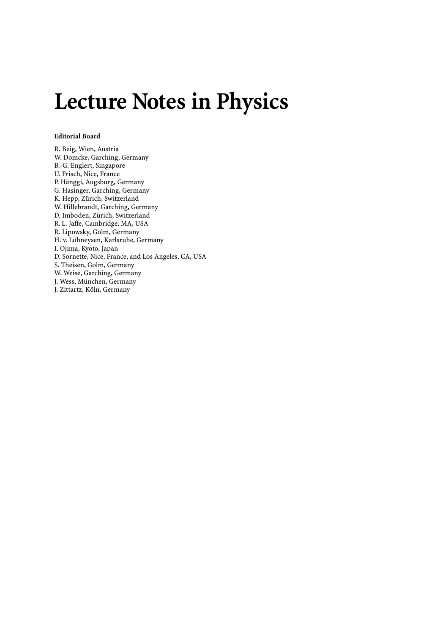# **Lecture Notes in Physics**

#### **Editorial Board**

R. Beig, Wien, Austria W. Domcke, Garching, Germany B.-G. Englert, Singapore U. Frisch, Nice, France P. Hänggi, Augsburg, Germany G. Hasinger, Garching, Germany K. Hepp, Zürich, Switzerland W. Hillebrandt, Garching, Germany D. Imboden, Zürich, Switzerland R. L. Jaffe, Cambridge, MA, USA R. Lipowsky, Golm, Germany H. v. Löhneysen, Karlsruhe, Germany I. Ojima, Kyoto, Japan D. Sornette, Nice, France, and Los Angeles, CA, USA S. Theisen, Golm, Germany W. Weise, Garching, Germany J. Wess, München, Germany J. Zittartz, Köln, Germany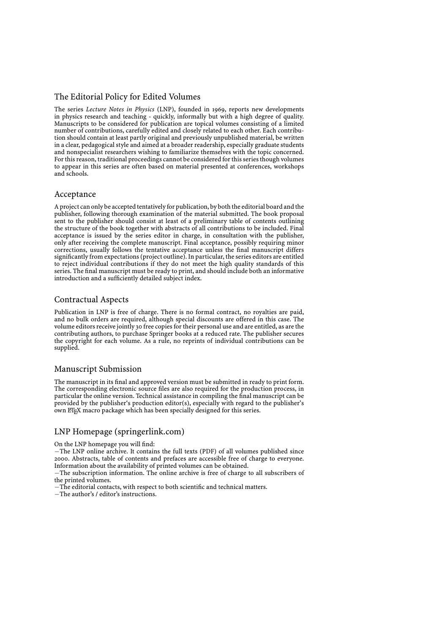# The Editorial Policy for Edited Volumes

The series *Lecture Notes in Physics* (LNP), founded in 1969, reports new developments in physics research and teaching - quickly, informally but with a high degree of quality. Manuscripts to be considered for publication are topical volumes consisting of a limited number of contributions, carefully edited and closely related to each other. Each contribution should contain at least partly original and previously unpublished material, be written in a clear, pedagogical style and aimed at a broader readership, especially graduate students and nonspecialist researchers wishing to familiarize themselves with the topic concerned. For this reason, traditional proceedings cannot be considered for this series though volumes to appear in this series are often based on material presented at conferences, workshops and schools.

### Acceptance

A project can only be accepted tentatively for publication, by both the editorial board and the publisher, following thorough examination of the material submitted. The book proposal sent to the publisher should consist at least of a preliminary table of contents outlining the structure of the book together with abstracts of all contributions to be included. Final acceptance is issued by the series editor in charge, in consultation with the publisher, only after receiving the complete manuscript. Final acceptance, possibly requiring minor corrections, usually follows the tentative acceptance unless the final manuscript differs significantly from expectations (project outline). In particular, the series editors are entitled to reject individual contributions if they do not meet the high quality standards of this series. The final manuscript must be ready to print, and should include both an informative introduction and a sufficiently detailed subject index.

# Contractual Aspects

Publication in LNP is free of charge. There is no formal contract, no royalties are paid, and no bulk orders are required, although special discounts are offered in this case. The volume editors receive jointly 30 free copies for their personal use and are entitled, as are the contributing authors, to purchase Springer books at a reduced rate. The publisher secures the copyright for each volume. As a rule, no reprints of individual contributions can be supplied.

# Manuscript Submission

The manuscript in its final and approved version must be submitted in ready to print form. The corresponding electronic source files are also required for the production process, in particular the online version. Technical assistance in compiling the final manuscript can be provided by the publisher's production editor(s), especially with regard to the publisher's own ETEX macro package which has been specially designed for this series.

# LNP Homepage (springerlink.com)

On the LNP homepage you will find:

−The LNP online archive. It contains the full texts (PDF) of all volumes published since 2000. Abstracts, table of contents and prefaces are accessible free of charge to everyone. Information about the availability of printed volumes can be obtained.

−The subscription information. The online archive is free of charge to all subscribers of the printed volumes.

−The editorial contacts, with respect to both scientific and technical matters.

−The author's / editor's instructions.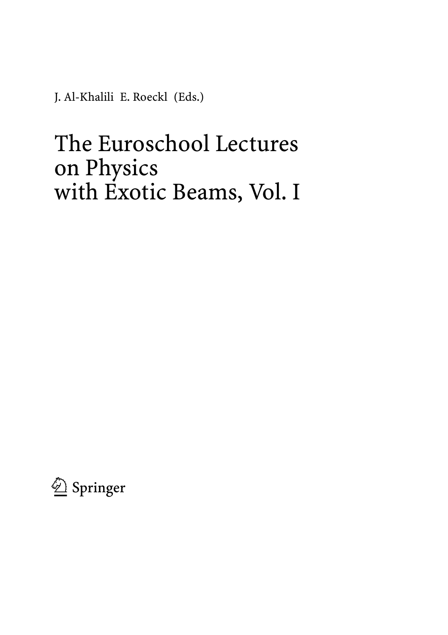J. Al-Khalili E. Roeckl (Eds.)

# The Euroschool Lectures on Physics with Exotic Beams, Vol. I

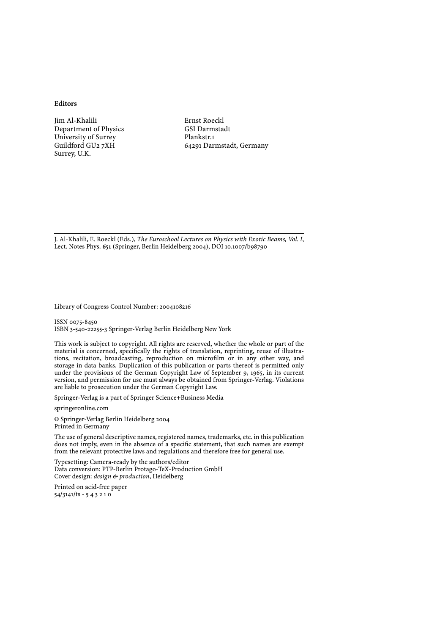#### **Editors**

Jim Al-Khalili Department of Physics University of Surrey Guildford GU2 7XH Surrey, U.K.

Ernst Roeckl GSI Darmstadt Plankstr.1 64291 Darmstadt, Germany

J. Al-Khalili, E. Roeckl (Eds.), *The Euroschool Lectures on Physics with Exotic Beams, Vol. I*, Lect. Notes Phys. **651** (Springer, Berlin Heidelberg 2004), DOI 10.1007/b98790

Library of Congress Control Number: 2004108216

ISSN 0075-8450 ISBN 3-540-22255-3 Springer-Verlag Berlin Heidelberg New York

This work is subject to copyright. All rights are reserved, whether the whole or part of the material is concerned, specifically the rights of translation, reprinting, reuse of illustrations, recitation, broadcasting, reproduction on microfilm or in any other way, and storage in data banks. Duplication of this publication or parts thereof is permitted only under the provisions of the German Copyright Law of September 9, 1965, in its current version, and permission for use must always be obtained from Springer-Verlag. Violations are liable to prosecution under the German Copyright Law.

Springer-Verlag is a part of Springer Science+Business Media

springeronline.com

© Springer-Verlag Berlin Heidelberg 2004 Printed in Germany

The use of general descriptive names, registered names, trademarks, etc. in this publication does not imply, even in the absence of a specific statement, that such names are exempt from the relevant protective laws and regulations and therefore free for general use.

Typesetting: Camera-ready by the authors/editor Data conversion: PTP-Berlin Protago-TeX-Production GmbH Cover design: *design & production*, Heidelberg

Printed on acid-free paper 54/3141/ts-543210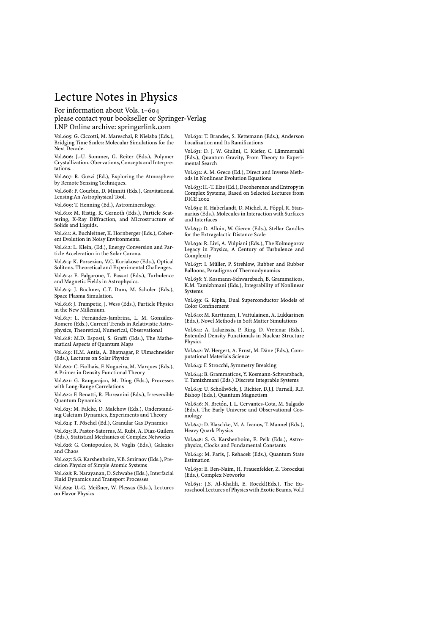# Lecture Notes in Physics

#### For information about Vols. 1–604 please contact your bookseller or Springer-Verlag LNP Online archive: springerlink.com

Vol.605: G. Ciccotti, M. Mareschal, P. Nielaba (Eds.), Bridging Time Scales: Molecular Simulations for the Next Decade.

Vol.606: J.-U. Sommer, G. Reiter (Eds.), Polymer Crystallization. Obervations, Concepts and Interpretations.

Vol.607: R. Guzzi (Ed.), Exploring the Atmosphere by Remote Sensing Techniques.

Vol.608: F. Courbin, D. Minniti (Eds.), Gravitational Lensing:An Astrophysical Tool.

Vol.609: T. Henning (Ed.), Astromineralogy.

Vol.610: M. Ristig, K. Gernoth (Eds.), Particle Scattering, X-Ray Diffraction, and Microstructure of Solids and Liquids.

Vol.611: A. Buchleitner, K. Hornberger (Eds.), Coherent Evolution in Noisy Environments.

Vol.612: L. Klein, (Ed.), Energy Conversion and Particle Acceleration in the Solar Corona.

Vol.613: K. Porsezian, V.C. Kuriakose (Eds.), Optical Solitons. Theoretical and Experimental Challenges.

Vol.614: E. Falgarone, T. Passot (Eds.), Turbulence and Magnetic Fields in Astrophysics.

Vol.615: J. Büchner, C.T. Dum, M. Scholer (Eds.), Space Plasma Simulation.

Vol.616: J. Trampetic, J. Wess (Eds.), Particle Physics in the New Millenium.

Vol.617: L. Fernández-Jambrina, L. M. González-Romero (Eds.), Current Trends in Relativistic Astrophysics, Theoretical, Numerical, Observational

Vol.618: M.D. Esposti, S. Graffi (Eds.), The Mathematical Aspects of Quantum Maps

Vol.619: H.M. Antia, A. Bhatnagar, P. Ulmschneider (Eds.), Lectures on Solar Physics

Vol.620: C. Fiolhais, F. Nogueira, M. Marques (Eds.), A Primer in Density Functional Theory

Vol.621: G. Rangarajan, M. Ding (Eds.), Processes with Long-Range Correlations

Vol.622: F. Benatti, R. Floreanini (Eds.), Irreversible Quantum Dynamics

Vol.623: M. Falcke, D. Malchow (Eds.), Understanding Calcium Dynamics, Experiments and Theory

Vol.624: T. Pöschel (Ed.), Granular Gas Dynamics

Vol.625: R. Pastor-Satorras, M. Rubi, A. Diaz-Guilera (Eds.), Statistical Mechanics of Complex Networks

Vol.626: G. Contopoulos, N. Voglis (Eds.), Galaxies and Chaos

Vol.627: S.G. Karshenboim, V.B. Smirnov (Eds.), Precision Physics of Simple Atomic Systems

Vol.628: R. Narayanan, D. Schwabe (Eds.), Interfacial Fluid Dynamics and Transport Processes

Vol.629: U.-G. Meißner, W. Plessas (Eds.), Lectures on Flavor Physics

Vol.630: T. Brandes, S. Kettemann (Eds.), Anderson Localization and Its Ramifications

Vol.631: D. J. W. Giulini, C. Kiefer, C. Lammerzahl ¨ (Eds.), Quantum Gravity, From Theory to Experimental Search

Vol.632: A. M. Greco (Ed.), Direct and Inverse Methods in Nonlinear Evolution Equations

Vol.633: H.-T. Elze (Ed.), Decoherence and Entropy in Complex Systems, Based on Selected Lectures from DICE 2002

Vol.634: R. Haberlandt, D. Michel, A. Pöppl, R. Stannarius (Eds.), Molecules in Interaction with Surfaces and Interfaces

Vol.635: D. Alloin, W. Gieren (Eds.), Stellar Candles for the Extragalactic Distance Scale

Vol.636: R. Livi, A. Vulpiani (Eds.), The Kolmogorov Legacy in Physics, A Century of Turbulence and Complexity

Vol.637: I. Müller, P. Strehlow, Rubber and Rubber Balloons, Paradigms of Thermodynamics

Vol.638: Y. Kosmann-Schwarzbach, B. Grammaticos, K.M. Tamizhmani (Eds.), Integrability of Nonlinear Systems

Vol.639: G. Ripka, Dual Superconductor Models of Color Confinement

Vol.640: M. Karttunen, I. Vattulainen, A. Lukkarinen (Eds.), Novel Methods in Soft Matter Simulations

Vol.641: A. Lalazissis, P. Ring, D. Vretenar (Eds.), Extended Density Functionals in Nuclear Structure Physics

Vol.642: W. Hergert, A. Ernst, M. Däne (Eds.), Computational Materials Science

Vol.643: F. Strocchi, Symmetry Breaking

Vol.644: B. Grammaticos, Y. Kosmann-Schwarzbach, T. Tamizhmani (Eds.) Discrete Integrable Systems

Vol.645: U. Schollwöck, J. Richter, D.J.J. Farnell, R.F. Bishop (Eds.), Quantum Magnetism

Vol.646: N. Bretón, J. L. Cervantes-Cota, M. Salgado (Eds.), The Early Universe and Observational Cosmology

Vol.647: D. Blaschke, M. A. Ivanov, T. Mannel (Eds.), Heavy Quark Physics

Vol.648: S. G. Karshenboim, E. Peik (Eds.), Astrophysics, Clocks and Fundamental Constants

Vol.649: M. Paris, J. Rehacek (Eds.), Quantum State Estimation

Vol.650: E. Ben-Naim, H. Frauenfelder, Z. Toroczkai (Eds.), Complex Networks

Vol.651: J.S. Al-Khalili, E. Roeckl(Eds.), The Euroschool Lectures of Physics with Exotic Beams, Vol.I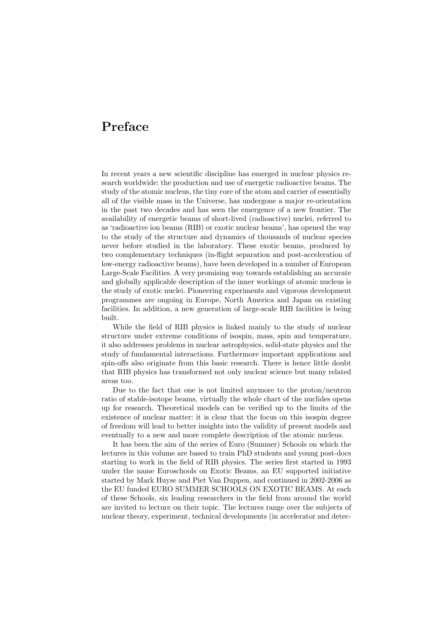# **Preface**

In recent years a new scientific discipline has emerged in nuclear physics research worldwide: the production and use of energetic radioactive beams. The study of the atomic nucleus, the tiny core of the atom and carrier of essentially all of the visible mass in the Universe, has undergone a major re-orientation in the past two decades and has seen the emergence of a new frontier. The availability of energetic beams of short-lived (radioactive) nuclei, referred to as 'radioactive ion beams (RIB) or exotic nuclear beams', has opened the way to the study of the structure and dynamics of thousands of nuclear species never before studied in the laboratory. These exotic beams, produced by two complementary techniques (in-flight separation and post-acceleration of low-energy radioactive beams), have been developed in a number of European Large-Scale Facilities. A very promising way towards establishing an accurate and globally applicable description of the inner workings of atomic nucleus is the study of exotic nuclei. Pioneering experiments and vigorous development programmes are ongoing in Europe, North America and Japan on existing facilities. In addition, a new generation of large-scale RIB facilities is being built.

While the field of RIB physics is linked mainly to the study of nuclear structure under extreme conditions of isospin, mass, spin and temperature, it also addresses problems in nuclear astrophysics, solid-state physics and the study of fundamental interactions. Furthermore important applications and spin-offs also originate from this basic research. There is hence little doubt that RIB physics has transformed not only nuclear science but many related areas too.

Due to the fact that one is not limited anymore to the proton/neutron ratio of stable-isotope beams, virtually the whole chart of the nuclides opens up for research. Theoretical models can be verified up to the limits of the existence of nuclear matter: it is clear that the focus on this isospin degree of freedom will lead to better insights into the validity of present models and eventually to a new and more complete description of the atomic nucleus.

It has been the aim of the series of Euro (Summer) Schools on which the lectures in this volume are based to train PhD students and young post-docs starting to work in the field of RIB physics. The series first started in 1993 under the name Euroschools on Exotic Beams, an EU supported initiative started by Mark Huyse and Piet Van Duppen, and continued in 2002-2006 as the EU funded EURO SUMMER SCHOOLS ON EXOTIC BEAMS. At each of these Schools, six leading researchers in the field from around the world are invited to lecture on their topic. The lectures range over the subjects of nuclear theory, experiment, technical developments (in accelerator and detec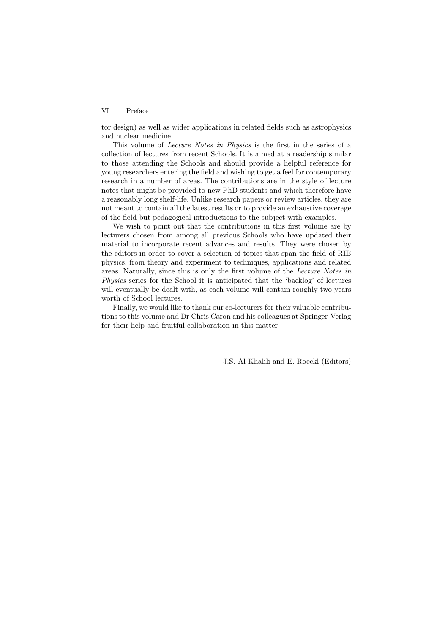tor design) as well as wider applications in related fields such as astrophysics and nuclear medicine.

This volume of *Lecture Notes in Physics* is the first in the series of a collection of lectures from recent Schools. It is aimed at a readership similar to those attending the Schools and should provide a helpful reference for young researchers entering the field and wishing to get a feel for contemporary research in a number of areas. The contributions are in the style of lecture notes that might be provided to new PhD students and which therefore have a reasonably long shelf-life. Unlike research papers or review articles, they are not meant to contain all the latest results or to provide an exhaustive coverage of the field but pedagogical introductions to the subject with examples.

We wish to point out that the contributions in this first volume are by lecturers chosen from among all previous Schools who have updated their material to incorporate recent advances and results. They were chosen by the editors in order to cover a selection of topics that span the field of RIB physics, from theory and experiment to techniques, applications and related areas. Naturally, since this is only the first volume of the *Lecture Notes in Physics* series for the School it is anticipated that the 'backlog' of lectures will eventually be dealt with, as each volume will contain roughly two years worth of School lectures.

Finally, we would like to thank our co-lecturers for their valuable contributions to this volume and Dr Chris Caron and his colleagues at Springer-Verlag for their help and fruitful collaboration in this matter.

J.S. Al-Khalili and E. Roeckl (Editors)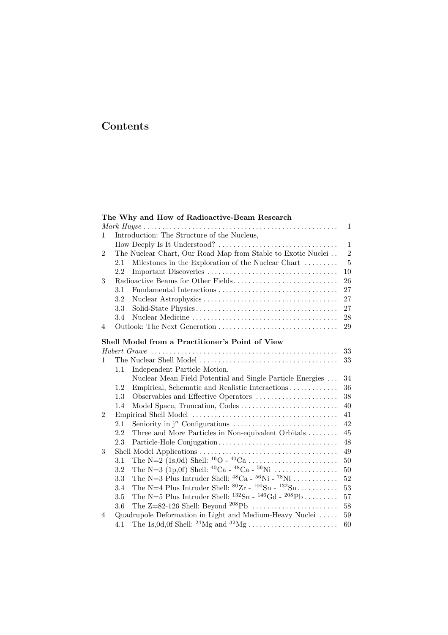# **Contents**

|                |                                                              | The Why and How of Radioactive-Beam Research                                   |                |
|----------------|--------------------------------------------------------------|--------------------------------------------------------------------------------|----------------|
|                |                                                              |                                                                                | $\mathbf{1}$   |
| 1              |                                                              | Introduction: The Structure of the Nucleus,                                    |                |
|                |                                                              |                                                                                | $\mathbf{1}$   |
| $\overline{2}$ | The Nuclear Chart, Our Road Map from Stable to Exotic Nuclei |                                                                                |                |
|                | 2.1                                                          | Milestones in the Exploration of the Nuclear Chart                             | $\overline{5}$ |
|                | 2.2                                                          |                                                                                | 10             |
| 3              |                                                              |                                                                                | 26             |
|                | 3.1                                                          |                                                                                | 27             |
|                | 3.2                                                          |                                                                                | 27             |
|                | 3.3                                                          |                                                                                | 27             |
|                | 3.4                                                          |                                                                                | 28             |
| 4              |                                                              |                                                                                | 29             |
|                |                                                              | Shell Model from a Practitioner's Point of View                                |                |
|                |                                                              |                                                                                | 33             |
| $\mathbf{1}$   |                                                              |                                                                                | 33             |
|                | 1.1                                                          | Independent Particle Motion,                                                   |                |
|                |                                                              | Nuclear Mean Field Potential and Single Particle Energies                      | 34             |
|                | 1.2                                                          | Empirical, Schematic and Realistic Interactions                                | 36             |
|                | 1.3                                                          | Observables and Effective Operators                                            | 38             |
|                | 1.4                                                          |                                                                                | 40             |
| 2              |                                                              |                                                                                | 41             |
|                | 2.1                                                          |                                                                                | 42             |
|                | 2.2                                                          | Three and More Particles in Non-equivalent Orbitals                            | $45\,$         |
|                | 2.3                                                          |                                                                                | 48             |
| 3              |                                                              |                                                                                | 49             |
|                | 3.1                                                          |                                                                                | 50             |
|                | 3.2                                                          |                                                                                | 50             |
|                | 3.3                                                          | The N=3 Plus Intruder Shell: $^{48}Ca - ^{56}Ni - ^{78}Ni \dots \dots \dots$   | 52             |
|                | 3.4                                                          | The N=4 Plus Intruder Shell: ${}^{80}Zr - {}^{100}Sn - {}^{132}Sn \dots \dots$ | 53             |
|                | 3.5                                                          | The N=5 Plus Intruder Shell: $^{132}Sn - ^{146}Gd - ^{208}Pb \ldots$           | 57             |
|                | 3.6                                                          |                                                                                | 58             |
| 4              |                                                              | Quadrupole Deformation in Light and Medium-Heavy Nuclei                        | 59             |
|                | 4.1                                                          |                                                                                | 60             |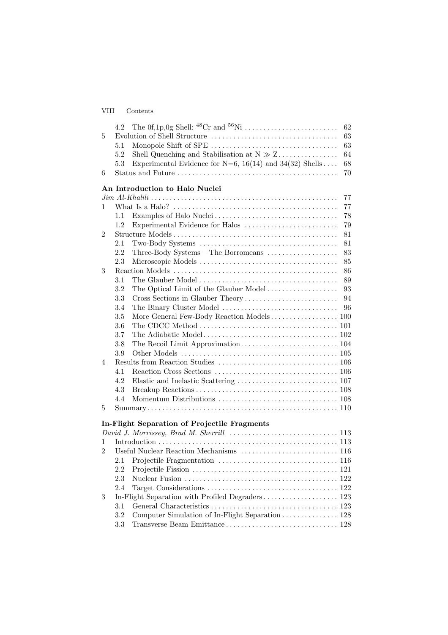|                | 4.2        |                                                                                                                  | 62 |
|----------------|------------|------------------------------------------------------------------------------------------------------------------|----|
| 5              |            |                                                                                                                  | 63 |
|                | 5.1        |                                                                                                                  | 63 |
|                | 5.2        | Shell Quenching and Stabilisation at $N \gg Z$                                                                   | 64 |
|                | 5.3        | Experimental Evidence for N=6, 16(14) and 34(32) Shells                                                          | 68 |
| 6              |            |                                                                                                                  | 70 |
|                |            |                                                                                                                  |    |
|                |            | An Introduction to Halo Nuclei                                                                                   | 77 |
| 1              |            |                                                                                                                  | 77 |
|                |            |                                                                                                                  | 78 |
|                | 1.1<br>1.2 |                                                                                                                  | 79 |
|                |            | Experimental Evidence for Halos                                                                                  |    |
| $\overline{2}$ |            |                                                                                                                  | 81 |
|                | 2.1        |                                                                                                                  | 81 |
|                | 2.2        | Three-Body Systems - The Borromeans                                                                              | 83 |
|                | 2.3        |                                                                                                                  | 85 |
| 3              |            |                                                                                                                  | 86 |
|                | 3.1        |                                                                                                                  | 89 |
|                | 3.2        | The Optical Limit of the Glauber Model                                                                           | 93 |
|                | 3.3        |                                                                                                                  | 94 |
|                | 3.4        |                                                                                                                  | 96 |
|                | 3.5        |                                                                                                                  |    |
|                | 3.6        | The CDCC Method $\ldots \ldots \ldots \ldots \ldots \ldots \ldots \ldots \ldots \ldots \ldots \ldots \ldots 101$ |    |
|                | 3.7        |                                                                                                                  |    |
|                | 3.8        |                                                                                                                  |    |
|                | 3.9        |                                                                                                                  |    |
| 4              |            |                                                                                                                  |    |
|                | 4.1        |                                                                                                                  |    |
|                | 4.2        |                                                                                                                  |    |
|                | 4.3        |                                                                                                                  |    |
|                | 4.4        |                                                                                                                  |    |
| 5              |            |                                                                                                                  |    |
|                |            | In-Flight Separation of Projectile Fragments                                                                     |    |
|                |            |                                                                                                                  |    |
| 1              |            |                                                                                                                  |    |
| $\overline{2}$ |            |                                                                                                                  |    |
|                |            |                                                                                                                  |    |
|                | 2.2        |                                                                                                                  |    |
|                | 2.3        |                                                                                                                  |    |
|                | 2.4        |                                                                                                                  |    |
|                |            |                                                                                                                  |    |
| 3              |            | In-Flight Separation with Profiled Degraders 123                                                                 |    |
|                | 3.1        |                                                                                                                  |    |
|                | 3.2        | Computer Simulation of In-Flight Separation 128                                                                  |    |
|                | $3.3\,$    |                                                                                                                  |    |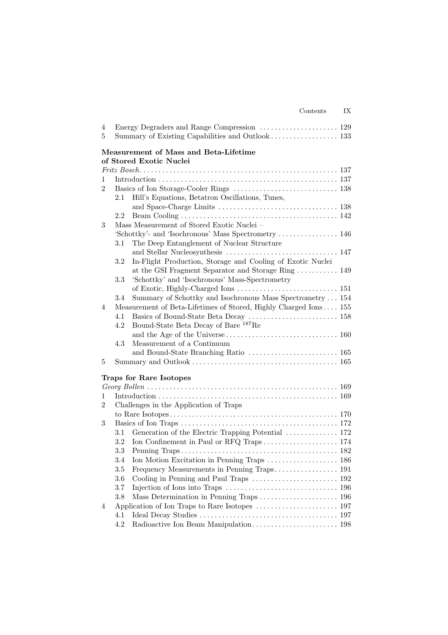| 4              |         | Energy Degraders and Range Compression  129                      |  |
|----------------|---------|------------------------------------------------------------------|--|
| 5              |         |                                                                  |  |
|                |         | Measurement of Mass and Beta-Lifetime<br>of Stored Exotic Nuclei |  |
|                |         |                                                                  |  |
| 1              |         |                                                                  |  |
| 2              |         |                                                                  |  |
|                | 2.1     | Hill's Equations, Betatron Oscillations, Tunes,                  |  |
|                |         |                                                                  |  |
|                | 2.2     |                                                                  |  |
| 3              |         | Mass Measurement of Stored Exotic Nuclei -                       |  |
|                |         | 'Schottky'- and 'Isochronous' Mass Spectrometry  146             |  |
|                | 3.1     | The Deep Entanglement of Nuclear Structure                       |  |
|                |         |                                                                  |  |
|                | 3.2     | In-Flight Production, Storage and Cooling of Exotic Nuclei       |  |
|                |         | at the GSI Fragment Separator and Storage Ring  149              |  |
|                | 3.3     | 'Schottky' and 'Isochronous' Mass-Spectrometry                   |  |
|                | 3.4     | Summary of Schottky and Isochronous Mass Spectrometry  154       |  |
| 4              |         | Measurement of Beta-Lifetimes of Stored, Highly Charged Ions 155 |  |
|                | 4.1     |                                                                  |  |
|                | 4.2     | Bound-State Beta Decay of Bare <sup>187</sup> Re                 |  |
|                |         |                                                                  |  |
|                | 4.3     | Measurement of a Continuum                                       |  |
|                |         |                                                                  |  |
| 5              |         |                                                                  |  |
|                |         |                                                                  |  |
|                |         | Traps for Rare Isotopes                                          |  |
| 1              |         |                                                                  |  |
| $\overline{2}$ |         | Challenges in the Application of Traps                           |  |
|                |         |                                                                  |  |
| 3              |         |                                                                  |  |
|                | 3.1     | Generation of the Electric Trapping Potential  172               |  |
|                | 3.2     |                                                                  |  |
|                | 3.3     |                                                                  |  |
|                |         |                                                                  |  |
|                | 3.5     |                                                                  |  |
|                | $3.6\,$ |                                                                  |  |
|                | 3.7     |                                                                  |  |
|                | 3.8     |                                                                  |  |
| 4              |         |                                                                  |  |
|                | 4.1     |                                                                  |  |
|                | 4.2     |                                                                  |  |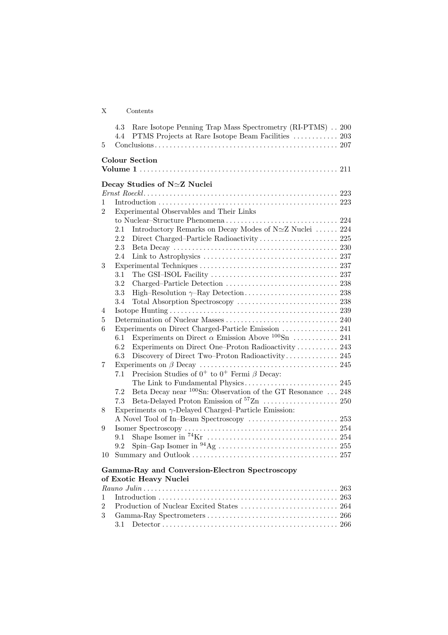| 5              | 4.3<br>4.4 | Rare Isotope Penning Trap Mass Spectrometry (RI-PTMS)  200<br>PTMS Projects at Rare Isotope Beam Facilities  203 |  |
|----------------|------------|------------------------------------------------------------------------------------------------------------------|--|
|                |            | <b>Colour Section</b>                                                                                            |  |
|                |            |                                                                                                                  |  |
|                |            | Decay Studies of N~Z Nuclei                                                                                      |  |
|                |            |                                                                                                                  |  |
| 1              |            |                                                                                                                  |  |
| $\overline{2}$ |            | Experimental Observables and Their Links                                                                         |  |
|                |            |                                                                                                                  |  |
|                | 2.1        | Introductory Remarks on Decay Modes of $N \simeq Z$ Nuclei  224                                                  |  |
|                | 2.2        | Direct Charged–Particle Radioactivity  225                                                                       |  |
|                | 2.3        |                                                                                                                  |  |
|                | 2.4        |                                                                                                                  |  |
| 3              |            |                                                                                                                  |  |
|                | 3.1        |                                                                                                                  |  |
|                | 3.2        |                                                                                                                  |  |
|                | 3.3        |                                                                                                                  |  |
|                | 3.4        |                                                                                                                  |  |
| 4              |            |                                                                                                                  |  |
| 5              |            |                                                                                                                  |  |
| 6              |            | Experiments on Direct Charged-Particle Emission  241                                                             |  |
|                | 6.1        | Experiments on Direct $\alpha$ Emission Above $^{100}$ Sn  241                                                   |  |
|                | 6.2        | Experiments on Direct One–Proton Radioactivity  243                                                              |  |
|                | 6.3        | Discovery of Direct Two-Proton Radioactivity 245                                                                 |  |
| 7              |            |                                                                                                                  |  |
|                | 7.1        | Precision Studies of $0^+$ to $0^+$ Fermi $\beta$ Decay:                                                         |  |
|                |            |                                                                                                                  |  |
|                | 7.2        | Beta Decay near $100$ Sn: Observation of the GT Resonance  248                                                   |  |
|                | 7.3        |                                                                                                                  |  |
| 8              |            | Experiments on $\gamma$ -Delayed Charged–Particle Emission:                                                      |  |
|                |            | A Novel Tool of In–Beam Spectroscopy $\dots\dots\dots\dots\dots\dots\dots\dots\dots\dots$ 253                    |  |
| 9              |            |                                                                                                                  |  |
|                | 9.1        |                                                                                                                  |  |
|                | 9.2        |                                                                                                                  |  |
| 10             |            |                                                                                                                  |  |
|                |            | Gamma-Ray and Conversion-Electron Spectroscopy                                                                   |  |
|                |            | of Exotic Heavy Nuclei                                                                                           |  |
|                |            |                                                                                                                  |  |
| 1              |            | $\mathbf{r}$<br>0.01                                                                                             |  |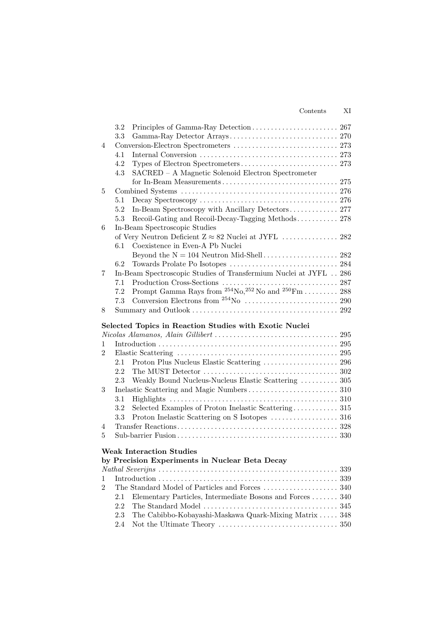|                | 3.2            |                                                                                                     |  |
|----------------|----------------|-----------------------------------------------------------------------------------------------------|--|
|                | 3.3            |                                                                                                     |  |
| 4              | 4.1            |                                                                                                     |  |
|                | 4.2            |                                                                                                     |  |
|                | 4.3            | SACRED - A Magnetic Solenoid Electron Spectrometer                                                  |  |
|                |                |                                                                                                     |  |
| 5              |                |                                                                                                     |  |
|                |                |                                                                                                     |  |
|                | 5.1<br>5.2     | In-Beam Spectroscopy with Ancillary Detectors 277                                                   |  |
|                | 5.3            | Recoil-Gating and Recoil-Decay-Tagging Methods 278                                                  |  |
|                |                | In-Beam Spectroscopic Studies                                                                       |  |
| 6              |                |                                                                                                     |  |
|                | 6.1            | Coexistence in Even-A Pb Nuclei                                                                     |  |
|                |                |                                                                                                     |  |
|                | 6.2            |                                                                                                     |  |
| 7              |                | In-Beam Spectroscopic Studies of Transfermium Nuclei at JYFL  286                                   |  |
|                | 7.1            |                                                                                                     |  |
|                | 7.2            | Prompt Gamma Rays from $^{254}\text{No},^{252}\text{No}$ and $^{250}\text{Fm}\dots \dots \dots$ 288 |  |
|                | 7.3            |                                                                                                     |  |
| 8              |                |                                                                                                     |  |
|                |                |                                                                                                     |  |
|                |                |                                                                                                     |  |
|                |                | Selected Topics in Reaction Studies with Exotic Nuclei                                              |  |
|                |                |                                                                                                     |  |
| 1              |                |                                                                                                     |  |
| $\overline{2}$ |                |                                                                                                     |  |
|                | 2.1            |                                                                                                     |  |
|                | 2.2            | The MUST Detector $\dots\dots\dots\dots\dots\dots\dots\dots\dots\dots\dots\dots$ 302                |  |
|                | 2.3            | Weakly Bound Nucleus-Nucleus Elastic Scattering  305                                                |  |
| 3              |                |                                                                                                     |  |
|                | 3.1            |                                                                                                     |  |
|                | 3.2            |                                                                                                     |  |
|                | 3.3            |                                                                                                     |  |
| 4              |                |                                                                                                     |  |
| 5              |                |                                                                                                     |  |
|                |                | <b>Weak Interaction Studies</b>                                                                     |  |
|                |                | by Precision Experiments in Nuclear Beta Decay                                                      |  |
|                |                |                                                                                                     |  |
| 1              |                |                                                                                                     |  |
| $\overline{2}$ |                |                                                                                                     |  |
|                | $2.1\,$<br>2.2 | Elementary Particles, Intermediate Bosons and Forces  340                                           |  |

2.3 The Cabibbo-Kobayashi-Maskawa Quark-Mixing Matrix . . . . . 348 2.4 Not the Ultimate Theory  $\dots\dots\dots\dots\dots\dots\dots\dots\dots\dots\dots$  . 350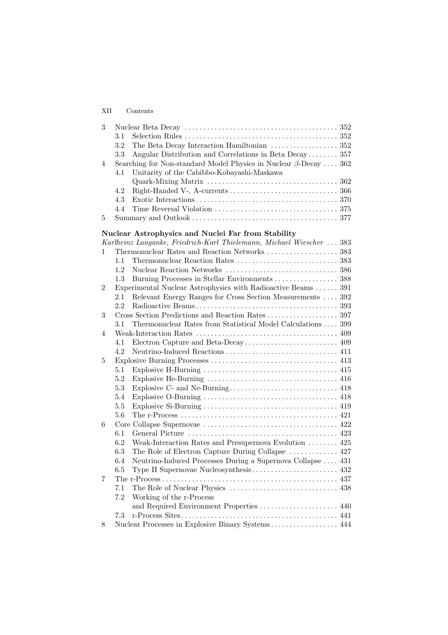| 3              |               |                                                                         |  |
|----------------|---------------|-------------------------------------------------------------------------|--|
|                | 3.1           |                                                                         |  |
|                | 3.2           |                                                                         |  |
|                | 3.3           | Angular Distribution and Correlations in Beta Decay 357                 |  |
| 4              |               | Searching for Non-standard Model Physics in Nuclear $\beta$ -Decay  362 |  |
|                | 4.1           | Unitarity of the Cabibbo-Kobayashi-Maskawa                              |  |
|                |               |                                                                         |  |
|                | 4.2           |                                                                         |  |
|                | 4.3           |                                                                         |  |
|                | 4.4           |                                                                         |  |
| 5              |               |                                                                         |  |
|                |               | Nuclear Astrophysics and Nuclei Far from Stability                      |  |
|                |               | Karlheinz Langanke, Friedrich-Karl Thielemann, Michael Wiescher  383    |  |
| 1              |               |                                                                         |  |
|                | 1.1           |                                                                         |  |
|                | $1.2^{\circ}$ |                                                                         |  |
|                | 1.3           |                                                                         |  |
| $\overline{2}$ |               | Experimental Nuclear Astrophysics with Radioactive Beams  391           |  |
|                | 2.1           | Relevant Energy Ranges for Cross Section Measurements  392              |  |
|                | 2.2           |                                                                         |  |
| 3              |               |                                                                         |  |
|                | 3.1           | Thermonuclear Rates from Statistical Model Calculations 399             |  |
| 4              |               |                                                                         |  |
|                | 4.1           |                                                                         |  |
|                | 4.2           |                                                                         |  |
| 5              |               |                                                                         |  |
|                | 5.1           |                                                                         |  |
|                | 5.2           |                                                                         |  |
|                | 5.3           |                                                                         |  |
|                |               |                                                                         |  |
|                | 5.4           |                                                                         |  |
|                | 5.5           |                                                                         |  |
|                | 5.6           |                                                                         |  |
| 6              |               |                                                                         |  |
|                | 6.1           |                                                                         |  |
|                | 6.2           | Weak-Interaction Rates and Presupernova Evolution  425                  |  |
|                | 6.3           | The Role of Electron Capture During Collapse  427                       |  |
|                | 6.4           | Neutrino-Induced Processes During a Supernova Collapse  431             |  |
|                | 6.5           |                                                                         |  |
| 7              |               |                                                                         |  |
|                | 7.1           |                                                                         |  |
|                | 7.2           | Working of the r-Process                                                |  |
|                |               |                                                                         |  |
|                | 7.3           |                                                                         |  |
| 8              |               | Nuclear Processes in Explosive Binary Systems 444                       |  |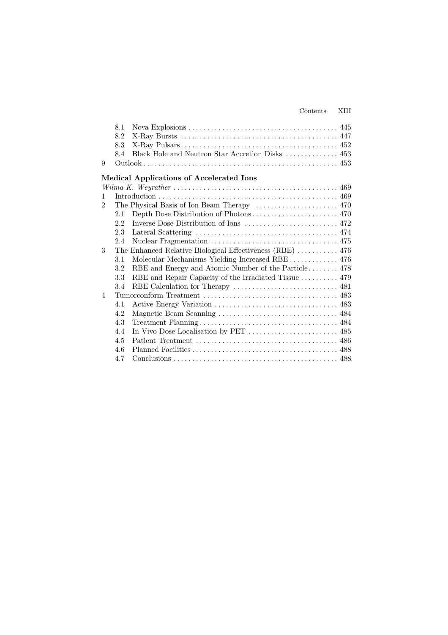|                | 8.1 |                                                           |
|----------------|-----|-----------------------------------------------------------|
|                | 8.2 |                                                           |
|                | 8.3 |                                                           |
|                | 8.4 | Black Hole and Neutron Star Accretion Disks  453          |
| 9              |     |                                                           |
|                |     | Medical Applications of Accelerated Ions                  |
|                |     |                                                           |
| $\mathbf{1}$   |     |                                                           |
| $\mathfrak{D}$ |     | The Physical Basis of Ion Beam Therapy  470               |
|                | 2.1 |                                                           |
|                | 2.2 |                                                           |
|                | 2.3 |                                                           |
|                | 2.4 |                                                           |
| 3              |     | The Enhanced Relative Biological Effectiveness (RBE)  476 |
|                | 3.1 | Molecular Mechanisms Yielding Increased RBE 476           |
|                | 3.2 | RBE and Energy and Atomic Number of the Particle 478      |
|                | 3.3 | RBE and Repair Capacity of the Irradiated Tissue  479     |
|                | 3.4 |                                                           |
| $\overline{4}$ |     |                                                           |
|                | 4.1 |                                                           |
|                | 4.2 |                                                           |
|                | 4.3 |                                                           |
|                | 4.4 |                                                           |
|                | 4.5 |                                                           |
|                | 4.6 |                                                           |
|                | 4.7 |                                                           |
|                |     |                                                           |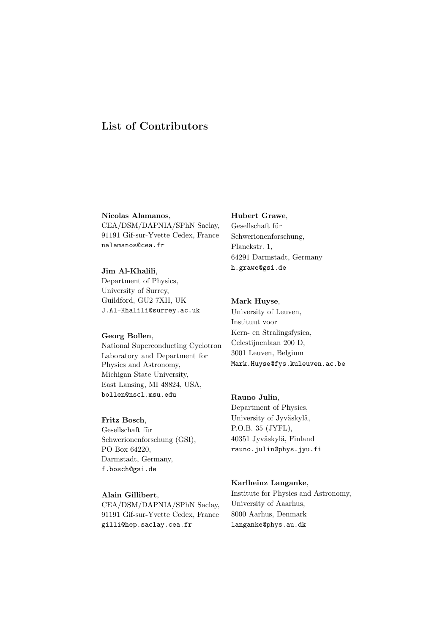# **List of Contributors**

#### **Nicolas Alamanos**,

CEA/DSM/DAPNIA/SPhN Saclay, 91191 Gif-sur-Yvette Cedex, France nalamanos@cea.fr

#### **Jim Al-Khalili**,

Department of Physics, University of Surrey, Guildford, GU2 7XH, UK J.Al-Khalili@surrey.ac.uk

#### **Georg Bollen**,

National Superconducting Cyclotron Laboratory and Department for Physics and Astronomy, Michigan State University, East Lansing, MI 48824, USA, bollen@nscl.msu.edu

#### **Fritz Bosch**,

Gesellschaft für Schwerionenforschung (GSI), PO Box 64220, Darmstadt, Germany, f.bosch@gsi.de

#### **Alain Gillibert**,

CEA/DSM/DAPNIA/SPhN Saclay, 91191 Gif-sur-Yvette Cedex, France gilli@hep.saclay.cea.fr

# **Hubert Grawe**, Gesellschaft für Schwerionenforschung, Planckstr. 1, 64291 Darmstadt, Germany h.grawe@gsi.de

**Mark Huyse**, University of Leuven, Instituut voor Kern- en Stralingsfysica, Celestijnenlaan 200 D, 3001 Leuven, Belgium Mark.Huyse@fys.kuleuven.ac.be

**Rauno Julin**, Department of Physics, University of Jyväskylä, P.O.B. 35 (JYFL), 40351 Jyväskylä, Finland rauno.julin@phys.jyu.fi

#### **Karlheinz Langanke**,

Institute for Physics and Astronomy, University of Aaarhus, 8000 Aarhus, Denmark langanke@phys.au.dk